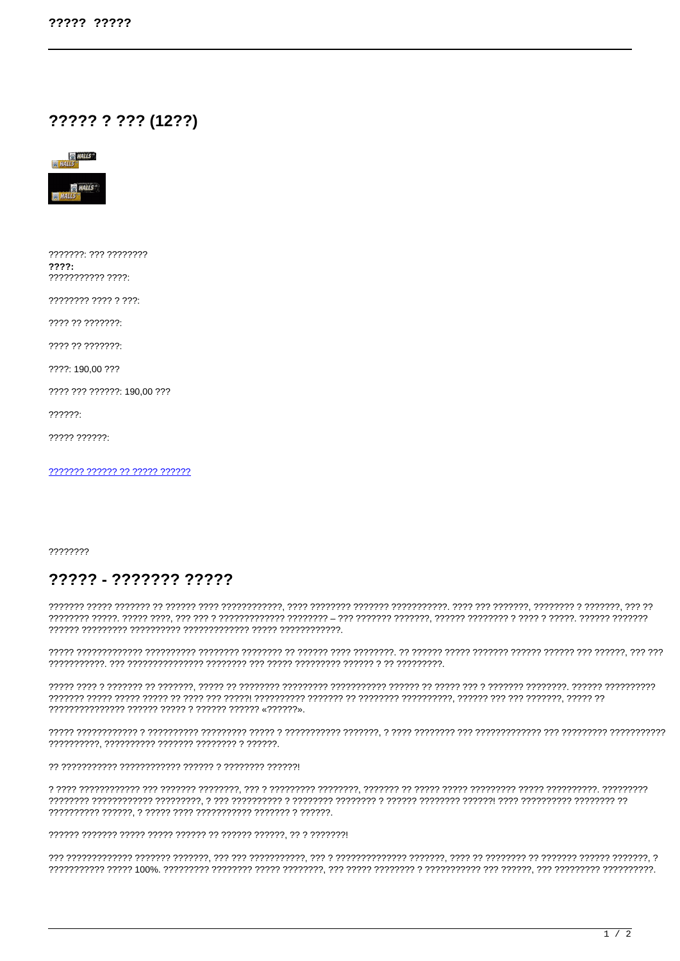## ????? ? ??? (12??)



???????: ??? ????????  $2222:$ 

???????? ???? ? ???:

???? ?? ???????:

????: 190,00 ???

???? ??? ??????: 190.00 ???

 $??????$ 

 $2222222222$ 

??????? ?????? ?? ????? ??????

????????

## ????? - ??????? ?????